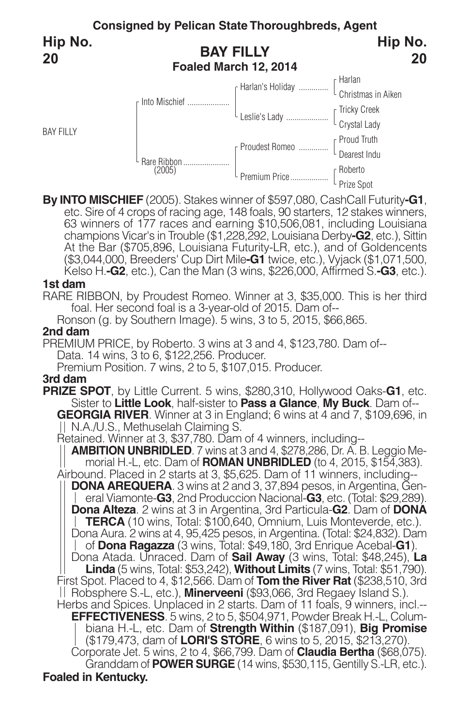

By INTO MISCHIEF (2005). Stakes winner of \$597,080, CashCall Futurity-G1,<br>etc. Sire of 4 crops of racing age, 148 foals, 90 starters, 12 stakes winners,<br>63 winners of 177 races and earning \$10,506,081, including Louisiana champions Vicar's in Trouble (\$1,228,292, Louisiana Derby**-G2**, etc.), Sittin At the Bar (\$705,896, Louisiana Futurity-LR, etc.), and of Goldencents (\$3,044,000, Breeders' Cup Dirt Mile**-G1** twice, etc.), Vyjack (\$1,071,500, Kelso H.**-G2**, etc.), Can the Man (3 wins, \$226,000, Affirmed S.**-G3**, etc.).

#### **1st dam**

RARE RIBBON, by Proudest Romeo. Winner at 3, \$35,000. This is her third foal. Her second foal is a 3-year-old of 2015. Dam of--

Ronson (g. by Southern Image). 5 wins, 3 to 5, 2015, \$66,865.

#### **2nd dam**

PREMIUM PRICE, by Roberto. 3 wins at 3 and 4, \$123,780. Dam of-- Data. 14 wins, 3 to 6, \$122,256. Producer.

Premium Position. 7 wins, 2 to 5, \$107,015. Producer.

## **3rd dam**

**PRIZE SPOT**, by Little Current. 5 wins, \$280,310, Hollywood Oaks-**G1**, etc. Sister to **Little Look**, half-sister to **Pass a Glance**, **My Buck**. Dam of-- **GEORGIA RIVER**. Winner at 3 in England; 6 wins at 4 and 7, \$109,696, in <br>|| N.A./U.S., Methuselah Claiming S.

Retained. Winner at 3, \$37,780. Dam of 4 winners, including--

**AMBITION UNBRIDLED**. 7 wins at 3 and 4, \$278,286, Dr. A. B. Leggio Memorial H.-L, etc. Dam of **ROMAN UNBRIDLED** (to 4, 2015, \$154,383).

Airbound. Placed in 2 starts at 3, \$5,625. Dam of 11 winners, including-- **DONA AREQUERA**. 3 wins at 2 and 3, 37,894 pesos, in Argentina, General Viamonte-**G3**, 2nd Produccion Nacional-**G3**, etc. (Total: \$29,289). **Dona Alteza**. 2 wins at 3 in Argentina, 3rd Particula-**G2**. Dam of **DONA TERCA** (10 wins, Total: \$100,640, Omnium, Luis Monteverde, etc.). Dona Aura. 2 wins at 4, 95,425 pesos, in Argentina. (Total: \$24,832). Dam of **Dona Ragazza** (3 wins, Total: \$49,180, 3rd Enrique Acebal-**G1**). Dona Atada. Unraced. Dam of **Sail Away** (3 wins, Total: \$48,245), **La Linda** (5 wins, Total: \$53,242), **Without Limits** (7 wins, Total: \$51,790).

First Spot. Placed to 4, \$12,566. Dam of **Tom the River Rat** (\$238,510, 3rd Robsphere S.-L, etc.), **Minerveeni** (\$93,066, 3rd Regaey Island S.). Herbs and Spices. Unplaced in 2 starts. Dam of 11 foals, 9 winners, incl.--

**EFFECTIVENESS**. 5 wins, 2 to 5, \$504,971, Powder Break H.-L, Columbiana H.-L, etc. Dam of **Strength Within** (\$187,091), **Big Promise**

Corporate Jet. 5 wins, 2 to 4, \$66,799. Dam of **Claudia Bertha** (\$68,075).<br>Granddam of **POWER SURGE** (14 wins, \$530,115, Gentilly S.-LR, etc.).

#### **Foaled in Kentucky.**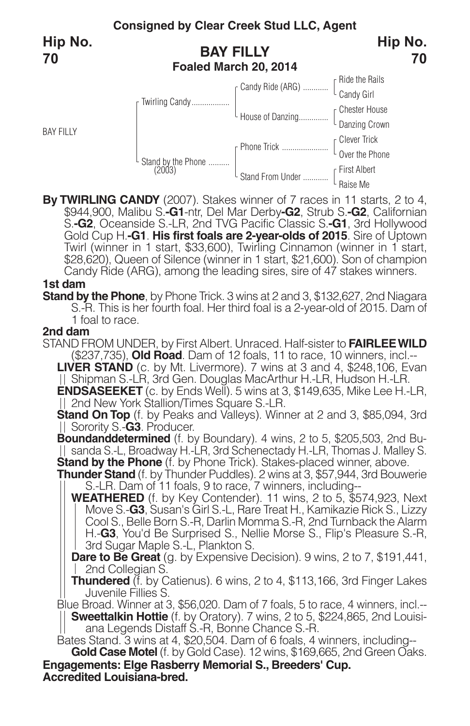

**By TWIRLING CANDY** (2007). Stakes winner of <sup>7</sup> races in <sup>11</sup> starts, <sup>2</sup> to 4, \$944,900, Malibu S.**-G1**-ntr, Del Mar Derby**-G2**, Strub S.**-G2**, Californian S.**-G2**, Oceanside S.-LR, 2nd TVG Pacific Classic S.**-G1**, 3rd Hollywood Gold Cup H.**-G1**. **His first foals are 2-year-olds of 2015**. Sire of Uptown Twirl (winner in 1 start, \$33,600), Twirling Cinnamon (winner in 1 start, \$28,620), Queen of Silence (winner in 1 start, \$21,600). Son of champion Candy Ride (ARG), among the leading sires, sire of 47 stakes winners.

#### **1st dam**

**Stand by the Phone**, by Phone Trick. 3 wins at 2 and 3, \$132,627, 2nd Niagara S.-R. This is her fourth foal. Her third foal is a 2-year-old of 2015. Dam of 1 foal to race.

#### **2nd dam**

STAND FROM UNDER, by First Albert. Unraced. Half-sister to **FAIRLEEWILD** (\$237,735), **Old Road**. Dam of 12 foals, 11 to race, 10 winners, incl.--

**LIVER STAND** (c. by Mt. Livermore). 7 wins at 3 and 4, \$248,106, Evan Shipman S.-LR, 3rd Gen. Douglas MacArthur H.-LR, Hudson H.-LR.

**ENDSASEEKET** (c. by Ends Well). 5 wins at 3, \$149,635, Mike Lee H.-LR, 2nd New York Stallion/Times Square S.-LR.

**Stand On Top** (f. by Peaks and Valleys). Winner at 2 and 3, \$85,094, 3rd Sorority S.-**G3**. Producer.

**Boundanddetermined** (f. by Boundary). 4 wins, 2 to 5, \$205,503, 2nd Bu-|| sanda S.-L, Broadway H.-LR, 3rd Schenectady H.-LR, Thomas J. Malley S.<br>Stand by the Phone (f. by Phone Trick). Stakes-placed winner, above.

**Thunder Stand** (f. by Thunder Puddles). 2 wins at 3, \$57,944, 3rd Bouwerie S.-LR. Dam of 11 foals, 9 to race, 7 winners, including--

**WEATHERED** (f. by Key Contender). 11 wins, 2 to 5, \$574,923, Next Move S.-**G3**, Susan's Girl S.-L, Rare Treat H., Kamikazie Rick S., Lizzy Cool S., Belle Born S.-R, Darlin Momma S.-R, 2nd Turnback the Alarm H.-**G3**, You'd Be Surprised S., Nellie Morse S., Flip's Pleasure S.-R, 3rd Sugar Maple S.-L, Plankton S.

**Dare to Be Great** (g. by Expensive Decision). 9 wins, 2 to 7, \$191,441, 2nd Collegian S.

**Thundered** (f. by Catienus). 6 wins, 2 to 4, \$113,166, 3rd Finger Lakes Juvenile Fillies S.

Blue Broad. Winner at 3, \$56,020. Dam of 7 foals, 5 to race, 4 winners, incl.-- **Sweettalkin Hottie** (f. by Oratory). 7 wins, 2 to 5, \$224,865, 2nd Louisiana Legends Distaff S.-R, Bonne Chance S.-R.

Bates Stand. 3 wins at 4, \$20,504. Dam of 6 foals, 4 winners, including--

**Accredited Louisiana-bred. Engagements: Elge Rasberry Memorial S., Breeders' Cup. Gold Case Motel** (f. by Gold Case). 12 wins, \$169,665, 2nd Green Oaks.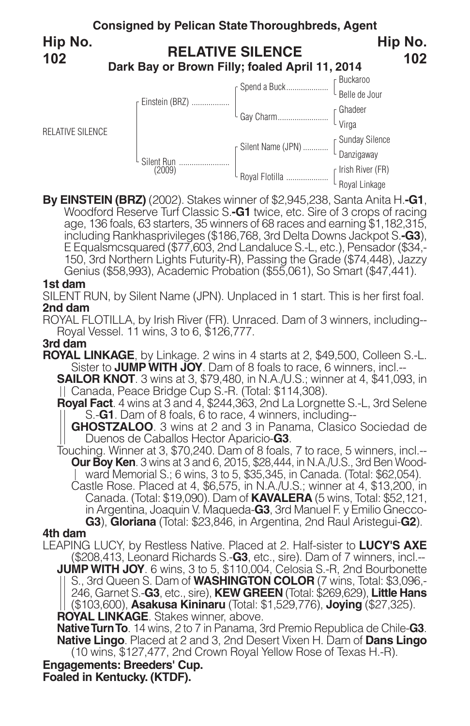

**By EINSTEIN (BRZ)** (2002). Stakes winner of \$2,945,238, Santa Anita H.**-G1**, Woodford Reserve Turf Classic S.**-G1** twice, etc. Sire of <sup>3</sup> crops of racing age, <sup>136</sup> foals, <sup>63</sup> starters, <sup>35</sup> winners of <sup>68</sup> races and earning \$1,182,315, including Rankhasprivileges (\$186,768, 3rd Delta Downs Jackpot S.**-G3**), <sup>E</sup> Equalsmcsquared (\$77,603, 2nd Landaluce S.-L, etc.), Pensador (\$34,- 150, 3rd Northern Lights Futurity-R), Passing the Grade (\$74,448), Jazzy Genius (\$58,993), Academic Probation (\$55,061), So Smart (\$47,441).

## **1st dam**

SILENT RUN, by Silent Name (JPN). Unplaced in 1 start. This is her first foal. **2nd dam**

ROYAL FLOTILLA, by Irish River (FR). Unraced. Dam of 3 winners, including-- Royal Vessel. 11 wins, 3 to 6, \$126,777.

# **3rd dam**

**ROYAL LINKAGE**, by Linkage. 2 wins in 4 starts at 2, \$49,500, Colleen S.-L. Sister to **JUMP WITH JOY**. Dam of 8 foals to race, 6 winners, incl.--

**SAILOR KNOT**. 3 wins at 3, \$79,480, in N.A./U.S.; winner at 4, \$41,093, in Canada, Peace Bridge Cup S.-R. (Total: \$114,308).

**Royal Fact**. 4 wins at 3 and 4, \$244,363, 2nd La Lorgnette S.-L, 3rd Selene S.-**G1**. Dam of 8 foals, 6 to race, 4 winners, including--

**GHOSTZALOO**. 3 wins at 2 and 3 in Panama, Clasico Sociedad de Duenos de Caballos Hector Aparicio-**G3**.

Touching. Winner at 3, \$70,240. Dam of 8 foals, 7 to race, 5 winners, incl.-- **Our Boy Ken**. 3 wins at 3 and 6, 2015, \$28,444, in N.A./U.S., 3rd Ben Woodward Memorial S.; 6 wins, 3 to 5, \$35,345, in Canada. (Total: \$62,054).

Castle Rose. Placed at 4, \$6,575, in N.A./U.S.; winner at 4, \$13,200, in Canada. (Total: \$19,090). Dam of **KAVALERA** (5 wins, Total: \$52,121, in Argentina, Joaquin V. Maqueda-**G3**, 3rd Manuel F. y Emilio Gnecco-**G3**), **Gloriana** (Total: \$23,846, in Argentina, 2nd Raul Aristegui-**G2**).

# **4th dam**

LEAPING LUCY, by Restless Native. Placed at 2. Half-sister to **LUCY'S AXE** (\$208,413, Leonard Richards S.-**G3**, etc., sire). Dam of 7 winners, incl.-- **JUMP WITH JOY**. 6 wins, 3 to 5, \$110,004, Celosia S.-R, 2nd Bourbonette S., 3rd Queen S. Dam of **WASHINGTON COLOR** (7 wins, Total: \$3,096,- 246, Garnet S.-**G3**, etc., sire), **KEW GREEN** (Total: \$269,629), **Little Hans** (\$103,600), **Asakusa Kininaru** (Total: \$1,529,776), **Joying** (\$27,325). **ROYAL LINKAGE**. Stakes winner, above.

**Native Turn To**. 14 wins, 2 to 7 in Panama, 3rd Premio Republica de Chile-G3. **Native Lingo**. Placed at 2 and 3, 2nd Desert Vixen H. Dam of **Dans Lingo** (10 wins, \$127,477, 2nd Crown Royal Yellow Rose of Texas H.-R).

**Engagements: Breeders' Cup.**

**Foaled in Kentucky. (KTDF).**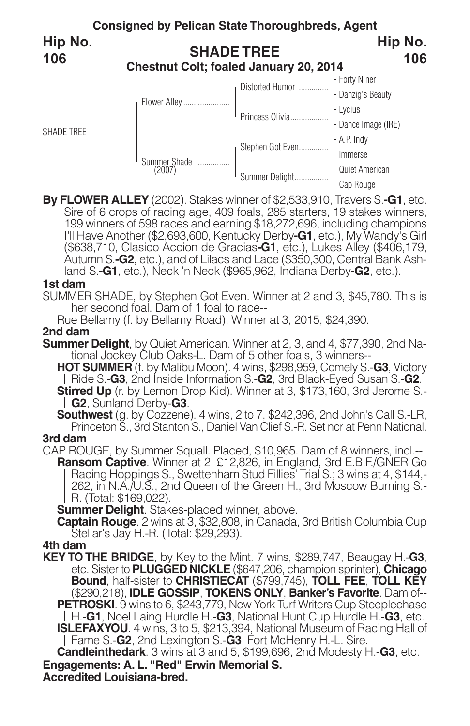

By FLOWER ALLEY (2002). Stakes winner of \$2,533,910, Travers S.-G1, etc.<br>Sire of 6 crops of racing age, 409 foals, 285 starters, 19 stakes winners,<br>199 winners of 598 races and earning \$18,272,696, including champions I'll Have Another (\$2,693,600, Kentucky Derby**-G1**, etc.), My Wandy's Girl (\$638,710, Clasico Accion de Gracias**-G1**, etc.), Lukes Alley (\$406,179, Autumn S.**-G2**, etc.), and of Lilacs and Lace (\$350,300, Central Bank Ashland S.**-G1**, etc.), Neck 'n Neck (\$965,962, Indiana Derby**-G2**, etc.).

## **1st dam**

SUMMER SHADE, by Stephen Got Even. Winner at 2 and 3, \$45,780. This is her second foal. Dam of 1 foal to race--

Rue Bellamy (f. by Bellamy Road). Winner at 3, 2015, \$24,390.

## **2nd dam**

**Summer Delight**, by Quiet American. Winner at 2, 3, and 4, \$77,390, 2nd National Jockey Club Oaks-L. Dam of 5 other foals, 3 winners--

**HOT SUMMER** (f. by Malibu Moon). 4 wins, \$298,959, Comely S.-**G3**, Victory Ride S.-**G3**, 2nd Inside Information S.-**G2**, 3rd Black-Eyed Susan S.-**G2**. **Stirred Up** (r. by Lemon Drop Kid). Winner at 3, \$173,160, 3rd Jerome S.- **G2**, Sunland Derby-**G3**.

**Southwest** (g. by Cozzene). <sup>4</sup> wins, <sup>2</sup> to 7, \$242,396, 2nd John's Call S.-LR, Princeton S., 3rd Stanton S., Daniel Van Clief S.-R. Set ncr at Penn National.

# **3rd dam**

CAP ROUGE, by Summer Squall. Placed, \$10,965. Dam of 8 winners, incl.-- **Ransom Captive**. Winner at 2, £12,826, in England, 3rd E.B.F./GNER Go Racing Hoppings S., Swettenham Stud Fillies' Trial S.; 3 wins at 4, \$144,-<br>262, in N.A./U.S., 2nd Queen of the Green H., 3rd Moscow Burning S.-R. (Total: \$169,022).

**Summer Delight**. Stakes-placed winner, above.

**Captain Rouge**. 2 wins at 3, \$32,808, in Canada, 3rd British Columbia Cup Stellar's Jay H.-R. (Total: \$29,293).

**4th dam**

**KEY TO THE BRIDGE**, by Key to the Mint. 7 wins, \$289,747, Beaugay H.-**G3**, etc. Sister to **PLUGGED NICKLE** (\$647,206, champion sprinter), **Chicago Bound**, half-sister to **CHRISTIECAT** (\$799,745), **TOLL FEE**, **TOLL KEY** (\$290,218), **IDLE GOSSIP**, **TOKENS ONLY**, **Banker's Favorite**. Dam of-- **PETROSKI.** 9 wins to 6, \$243,779, New York Turf Writers Cup Steeplechase H.-**G1**, Noel Laing Hurdle H.-**G3**, National Hunt Cup Hurdle H.-**G3**, etc. **ISLEFAXYOU**. 4 wins, 3 to 5, \$213,394, National Museum of Racing Hall of Fame S.-**G2**, 2nd Lexington S.-**G3**, Fort McHenry H.-L. Sire.

**Engagements: A. L. "Red" Erwin Memorial S. Candleinthedark**. 3 wins at 3 and 5, \$199,696, 2nd Modesty H.-**G3**, etc.

**Accredited Louisiana-bred.**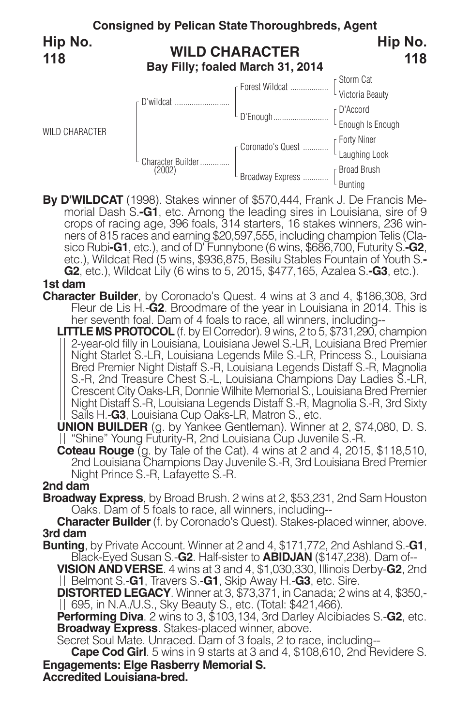

**By D'WILDCAT** (1998). Stakes winner of \$570,444, Frank J. De Francis Me- morial Dash S.**-G1**, etc. Among the leading sires in Louisiana, sire of <sup>9</sup> crops of racing age, 396 foals, 314 starters, 16 stakes winners, 236 winners of 815 races and earning \$20,597,555, including champion Telis (Clasico Rubi-G1, etc.), and of D' Funnybone (6 wins, \$686,700, Futurity S.-G2, sico Rubi**-G1**, etc.), and of D'Funnybone (6 wins, \$686,700, Futurity S.**-G2**,<br>etc.), Wildcat Red (5 wins, \$936,875, Besilu Stables Fountain of Youth S.-**G2**, etc.), Wildcat Lily (6 wins to 5, 2015, \$477,165, Azalea S.**-G3**, etc.).

# **1st dam**

- **Character Builder**, by Coronado's Quest. 4 wins at 3 and 4, \$186,308, 3rd Fleur de Lis H.-**G2**. Broodmare of the year in Louisiana in 2014. This is her seventh foal. Dam of 4 foals to race, all winners, including--
	- **LITTLE MS PROTOCOL** (f. by El Corredor). 9 wins, 2 to 5, \$731,290, champion 2-year-old filly in Louisiana, Louisiana Jewel S.-LR, Louisiana Bred Premier Night Starlet S.-LR, Louisiana Legends Mile S.-LR, Princess S., Louisiana Bred Premier Night Distaff S.-R, Louisiana Legends Distaff S.-R, Magnolia S.-R, 2nd Treasure Chest S.-L, Louisiana Champions Day Ladies S.-LR, Crescent City Oaks-LR, Donnie Wilhite Memorial S., Louisiana Bred Premier Night Distaff S.-R, Louisiana Legends Distaff S.-R, Magnolia S.-R, 3rd Sixty Sails H.-**G3**, Louisiana Cup Oaks-LR, Matron S., etc.

**UNION BUILDER** (g. by Yankee Gentleman). Winner at 2, \$74,080, D. S. || "Shine" Young Futurity-R, 2nd Louisiana Cup Juvenile S.-R.

**Coteau Rouge** (g. by Tale of the Cat). <sup>4</sup> wins at <sup>2</sup> and 4, 2015, \$118,510, 2nd Louisiana Champions Day Juvenile S.-R, 3rd Louisiana Bred Premier Night Prince S.-R, Lafayette S.-R.

# **2nd dam**

**Broadway Express**, by Broad Brush. 2 wins at 2, \$53,231, 2nd Sam Houston Oaks. Dam of 5 foals to race, all winners, including--

**Character Builder**(f. by Coronado's Quest). Stakes-placed winner, above. **3rd dam**

**Bunting**, by Private Account. Winner at 2 and 4, \$171,772, 2nd Ashland S.-**G1**, Black-Eyed Susan S.-**G2**. Half-sister to **ABIDJAN** (\$147,238). Dam of--

**VISION ANDVERSE**. 4 wins at 3 and 4, \$1,030,330, Illinois Derby-**G2**, 2nd Belmont S.-**G1**, Travers S.-**G1**, Skip Away H.-**G3**, etc. Sire.

**DISTORTED LEGACY**. Winner at 3, \$73,371, in Canada; 2 wins at 4, \$350,- 695, in N.A./U.S., Sky Beauty S., etc. (Total: \$421,466).

**Performing Diva**. 2 wins to 3, \$103,134, 3rd Darley Alcibiades S.-**G2**, etc. **Broadway Express**. Stakes-placed winner, above.

Secret Soul Mate. Unraced. Dam of 3 foals, 2 to race, including--

**Engagements: Elge Rasberry Memorial S. Cape Cod Girl**. 5 wins in 9 starts at 3 and 4, \$108,610, 2nd Revidere S.

**Accredited Louisiana-bred.**